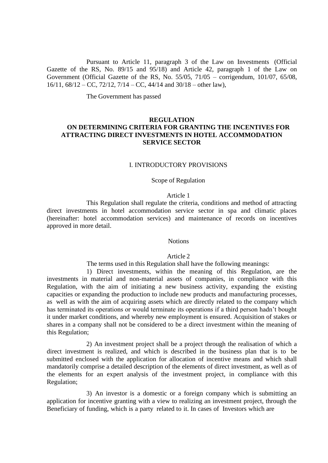Pursuant to Article 11, paragraph 3 of the Law on Investments (Official Gazette of the RS, No. 89/15 and 95/18) and Article 42, paragraph 1 of the Law on Government (Official Gazette of the RS, No. 55/05, 71/05 – corrigendum, 101/07, 65/08, 16/11, 68/12 – CC, 72/12, 7/14 – CC, 44/14 and 30/18 – other law),

The Government has passed

# **REGULATION ON DETERMINING CRITERIA FOR GRANTING THE INCENTIVES FOR ATTRACTING DIRECT INVESTMENTS IN HOTEL ACCOMMODATION SERVICE SECTOR**

#### I. INTRODUCTORY PROVISIONS

#### Scope of Regulation

#### Article 1

This Regulation shall regulate the criteria, conditions and method of attracting direct investments in hotel accommodation service sector in spa and climatic places (hereinafter: hotel accommodation services) and maintenance of records on incentives approved in more detail.

#### **Notions**

#### Article 2

The terms used in this Regulation shall have the following meanings:

1) Direct investments, within the meaning of this Regulation, are the investments in material and non-material assets of companies, in compliance with this Regulation, with the aim of initiating a new business activity, expanding the existing capacities or expanding the production to include new products and manufacturing processes, as well as with the aim of acquiring assets which are directly related to the company which has terminated its operations or would terminate its operations if a third person hadn't bought it under market conditions, and whereby new employment is ensured. Acquisition of stakes or shares in a company shall not be considered to be a direct investment within the meaning of this Regulation;

2) An investment project shall be a project through the realisation of which a direct investment is realized, and which is described in the business plan that is to be submitted enclosed with the application for allocation of incentive means and which shall mandatorily comprise a detailed description of the elements of direct investment, as well as of the elements for an expert analysis of the investment project, in compliance with this Regulation;

3) An investor is a domestic or a foreign company which is submitting an application for incentive granting with a view to realizing an investment project, through the Beneficiary of funding, which is a party related to it. In cases of Investors which are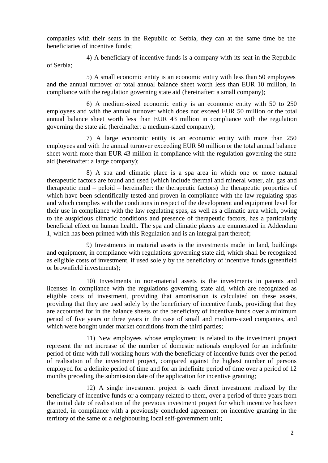companies with their seats in the Republic of Serbia, they can at the same time be the beneficiaries of incentive funds;

4) A beneficiary of incentive funds is a company with its seat in the Republic of Serbia;

5) A small economic entity is an economic entity with less than 50 employees and the annual turnover or total annual balance sheet worth less than EUR 10 million, in compliance with the regulation governing state aid (hereinafter: a small company);

6) A medium-sized economic entity is an economic entity with 50 to 250 employees and with the annual turnover which does not exceed EUR 50 million or the total annual balance sheet worth less than EUR 43 million in compliance with the regulation governing the state aid (hereinafter: a medium-sized company);

7) A large economic entity is an economic entity with more than 250 employees and with the annual turnover exceeding EUR 50 million or the total annual balance sheet worth more than EUR 43 million in compliance with the regulation governing the state aid (hereinafter: a large company);

8) A spa and climatic place is a spa area in which one or more natural therapeutic factors are found and used (which include thermal and mineral water, air, gas and therapeutic mud – peloid – hereinafter: the therapeutic factors) the therapeutic properties of which have been scientifically tested and proven in compliance with the law regulating spas and which complies with the conditions in respect of the development and equipment level for their use in compliance with the law regulating spas, as well as a climatic area which, owing to the auspicious climatic conditions and presence of therapeutic factors, has a particularly beneficial effect on human health. The spa and climatic places are enumerated in Addendum 1, which has been printed with this Regulation and is an integral part thereof;

9) Investments in material assets is the investments made in land, buildings and equipment, in compliance with regulations governing state aid, which shall be recognized as eligible costs of investment, if used solely by the beneficiary of incentive funds (greenfield or brownfield investments);

10) Investments in non-material assets is the investments in patents and licenses in compliance with the regulations governing state aid, which are recognized as eligible costs of investment, providing that amortisation is calculated on these assets, providing that they are used solely by the beneficiary of incentive funds, providing that they are accounted for in the balance sheets of the beneficiary of incentive funds over a minimum period of five years or three years in the case of small and medium-sized companies, and which were bought under market conditions from the third parties;

11) New employees whose employment is related to the investment project represent the net increase of the number of domestic nationals employed for an indefinite period of time with full working hours with the beneficiary of incentive funds over the period of realisation of the investment project, compared against the highest number of persons employed for a definite period of time and for an indefinite period of time over a period of 12 months preceding the submission date of the application for incentive granting;

12) A single investment project is each direct investment realized by the beneficiary of incentive funds or a company related to them, over a period of three years from the initial date of realisation of the previous investment project for which incentive has been granted, in compliance with a previously concluded agreement on incentive granting in the territory of the same or a neighbouring local self-government unit;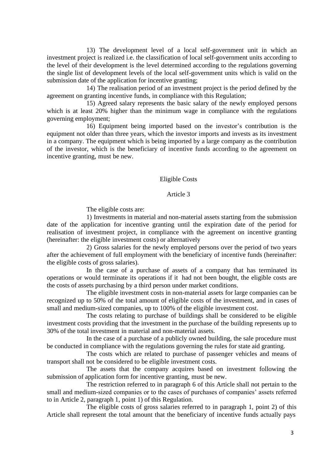13) The development level of a local self-government unit in which an investment project is realized i.e. the classification of local self-government units according to the level of their development is the level determined according to the regulations governing the single list of development levels of the local self-government units which is valid on the submission date of the application for incentive granting;

14) The realisation period of an investment project is the period defined by the agreement on granting incentive funds, in compliance with this Regulation;

15) Agreed salary represents the basic salary of the newly employed persons which is at least 20% higher than the minimum wage in compliance with the regulations governing employment;

16) Equipment being imported based on the investor's contribution is the equipment not older than three years, which the investor imports and invests as its investment in a company. The equipment which is being imported by a large company as the contribution of the investor, which is the beneficiary of incentive funds according to the agreement on incentive granting, must be new.

### Eligible Costs

### Article 3

The eligible costs are:

1) Investments in material and non-material assets starting from the submission date of the application for incentive granting until the expiration date of the period for realisation of investment project, in compliance with the agreement on incentive granting (hereinafter: the eligible investment costs) or alternatively

2) Gross salaries for the newly employed persons over the period of two years after the achievement of full employment with the beneficiary of incentive funds (hereinafter: the eligible costs of gross salaries).

In the case of a purchase of assets of a company that has terminated its operations or would terminate its operations if it had not been bought, the eligible costs are the costs of assets purchasing by a third person under market conditions.

The eligible investment costs in non-material assets for large companies can be recognized up to 50% of the total amount of eligible costs of the investment, and in cases of small and medium-sized companies, up to 100% of the eligible investment cost.

The costs relating to purchase of buildings shall be considered to be eligible investment costs providing that the investment in the purchase of the building represents up to 30% of the total investment in material and non-material assets.

In the case of a purchase of a publicly owned building, the sale procedure must be conducted in compliance with the regulations governing the rules for state aid granting.

The costs which are related to purchase of passenger vehicles and means of transport shall not be considered to be eligible investment costs.

The assets that the company acquires based on investment following the submission of application form for incentive granting, must be new.

The restriction referred to in paragraph 6 of this Article shall not pertain to the small and medium-sized companies or to the cases of purchases of companies' assets referred to in Article 2, paragraph 1, point 1) of this Regulation.

The eligible costs of gross salaries referred to in paragraph 1, point 2) of this Article shall represent the total amount that the beneficiary of incentive funds actually pays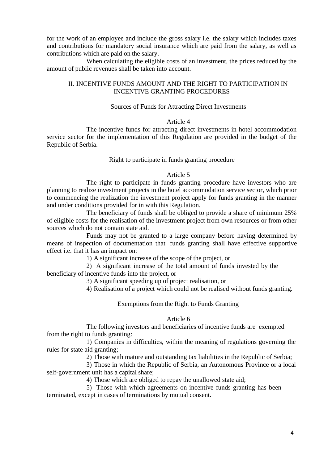for the work of an employee and include the gross salary i.e. the salary which includes taxes and contributions for mandatory social insurance which are paid from the salary, as well as contributions which are paid on the salary.

When calculating the eligible costs of an investment, the prices reduced by the amount of public revenues shall be taken into account.

# II. INCENTIVE FUNDS AMOUNT AND THE RIGHT TO PARTICIPATION IN INCENTIVE GRANTING PROCEDURES

### Sources of Funds for Attracting Direct Investments

#### Article 4

The incentive funds for attracting direct investments in hotel accommodation service sector for the implementation of this Regulation are provided in the budget of the Republic of Serbia.

### Right to participate in funds granting procedure

#### Article 5

The right to participate in funds granting procedure have investors who are planning to realize investment projects in the hotel accommodation service sector, which prior to commencing the realization the investment project apply for funds granting in the manner and under conditions provided for in with this Regulation.

The beneficiary of funds shall be obliged to provide a share of minimum 25% of eligible costs for the realisation of the investment project from own resources or from other sources which do not contain state aid.

Funds may not be granted to a large company before having determined by means of inspection of documentation that funds granting shall have effective supportive effect i.e. that it has an impact on:

1) A significant increase of the scope of the project, or

2) A significant increase of the total amount of funds invested by the beneficiary of incentive funds into the project, or

3) A significant speeding up of project realisation, or

4) Realisation of a project which could not be realised without funds granting.

Exemptions from the Right to Funds Granting

#### Article 6

The following investors and beneficiaries of incentive funds are exempted from the right to funds granting:

1) Companies in difficulties, within the meaning of regulations governing the rules for state aid granting;

2) Those with mature and outstanding tax liabilities in the Republic of Serbia;

3) Those in which the Republic of Serbia, an Autonomous Province or a local self-government unit has a capital share;

4) Those which are obliged to repay the unallowed state aid;

5) Those with which agreements on incentive funds granting has been terminated, except in cases of terminations by mutual consent.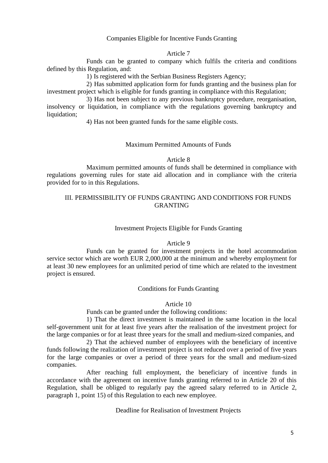### Companies Eligible for Incentive Funds Granting

#### Article 7

Funds can be granted to company which fulfils the criteria and conditions defined by this Regulation, and:

1) Is registered with the Serbian Business Registers Agency;

2) Has submitted application form for funds granting and the business plan for investment project which is eligible for funds granting in compliance with this Regulation;

3) Has not been subject to any previous bankruptcy procedure, reorganisation, insolvency or liquidation, in compliance with the regulations governing bankruptcy and liquidation;

4) Has not been granted funds for the same eligible costs.

### Maximum Permitted Amounts of Funds

### Article 8

Maximum permitted amounts of funds shall be determined in compliance with regulations governing rules for state aid allocation and in compliance with the criteria provided for to in this Regulations.

# III. PERMISSIBILITY OF FUNDS GRANTING AND CONDITIONS FOR FUNDS GRANTING

#### Investment Projects Eligible for Funds Granting

#### Article 9

Funds can be granted for investment projects in the hotel accommodation service sector which are worth EUR 2,000,000 at the minimum and whereby employment for at least 30 new employees for an unlimited period of time which are related to the investment project is ensured.

#### Conditions for Funds Granting

#### Article 10

Funds can be granted under the following conditions:

1) That the direct investment is maintained in the same location in the local self-government unit for at least five years after the realisation of the investment project for the large companies or for at least three years for the small and medium-sized companies, and

2) That the achieved number of employees with the beneficiary of incentive funds following the realization of investment project is not reduced over a period of five years for the large companies or over a period of three years for the small and medium-sized companies.

After reaching full employment, the beneficiary of incentive funds in accordance with the agreement on incentive funds granting referred to in Article 20 of this Regulation, shall be obliged to regularly pay the agreed salary referred to in Article 2, paragraph 1, point 15) of this Regulation to each new employee.

Deadline for Realisation of Investment Projects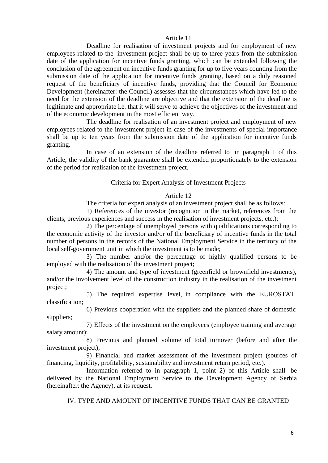### Article 11

Deadline for realisation of investment projects and for employment of new employees related to the investment project shall be up to three years from the submission date of the application for incentive funds granting, which can be extended following the conclusion of the agreement on incentive funds granting for up to five years counting from the submission date of the application for incentive funds granting, based on a duly reasoned request of the beneficiary of incentive funds, providing that the Council for Economic Development (hereinafter: the Council) assesses that the circumstances which have led to the need for the extension of the deadline are objective and that the extension of the deadline is legitimate and appropriate i.e. that it will serve to achieve the objectives of the investment and of the economic development in the most efficient way.

The deadline for realisation of an investment project and employment of new employees related to the investment project in case of the investments of special importance shall be up to ten years from the submission date of the application for incentive funds granting.

In case of an extension of the deadline referred to in paragraph 1 of this Article, the validity of the bank guarantee shall be extended proportionately to the extension of the period for realisation of the investment project.

### Criteria for Expert Analysis of Investment Projects

### Article 12

The criteria for expert analysis of an investment project shall be as follows:

1) References of the investor (recognition in the market, references from the clients, previous experiences and success in the realisation of investment projects, etc.);

2) The percentage of unemployed persons with qualifications corresponding to the economic activity of the investor and/or of the beneficiary of incentive funds in the total number of persons in the records of the National Employment Service in the territory of the local self-government unit in which the investment is to be made;

3) The number and/or the percentage of highly qualified persons to be employed with the realisation of the investment project;

4) The amount and type of investment (greenfield or brownfield investments), and/or the involvement level of the construction industry in the realisation of the investment project;

classification; 5) The required expertise level, in compliance with the EUROSTAT

suppliers; 6) Previous cooperation with the suppliers and the planned share of domestic

7) Effects of the investment on the employees (employee training and average salary amount);

8) Previous and planned volume of total turnover (before and after the investment project);

9) Financial and market assessment of the investment project (sources of financing, liquidity, profitability, sustainability and investment return period, etc.).

Information referred to in paragraph 1, point 2) of this Article shall be delivered by the National Employment Service to the Development Agency of Serbia (hereinafter: the Agency), at its request.

IV. TYPE AND AMOUNT OF INCENTIVE FUNDS THAT CAN BE GRANTED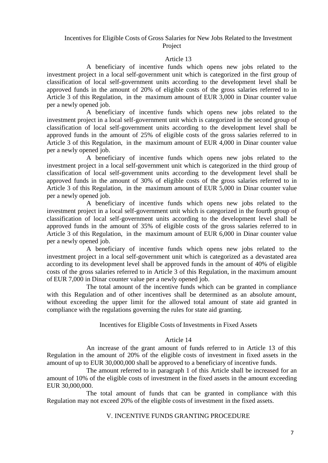# Incentives for Eligible Costs of Gross Salaries for New Jobs Related to the Investment Project

### Article 13

A beneficiary of incentive funds which opens new jobs related to the investment project in a local self-government unit which is categorized in the first group of classification of local self-government units according to the development level shall be approved funds in the amount of 20% of eligible costs of the gross salaries referred to in Article 3 of this Regulation, in the maximum amount of EUR 3,000 in Dinar counter value per a newly opened job.

A beneficiary of incentive funds which opens new jobs related to the investment project in a local self-government unit which is categorized in the second group of classification of local self-government units according to the development level shall be approved funds in the amount of 25% of eligible costs of the gross salaries referred to in Article 3 of this Regulation, in the maximum amount of EUR 4,000 in Dinar counter value per a newly opened job.

A beneficiary of incentive funds which opens new jobs related to the investment project in a local self-government unit which is categorized in the third group of classification of local self-government units according to the development level shall be approved funds in the amount of 30% of eligible costs of the gross salaries referred to in Article 3 of this Regulation, in the maximum amount of EUR 5,000 in Dinar counter value per a newly opened job.

A beneficiary of incentive funds which opens new jobs related to the investment project in a local self-government unit which is categorized in the fourth group of classification of local self-government units according to the development level shall be approved funds in the amount of 35% of eligible costs of the gross salaries referred to in Article 3 of this Regulation, in the maximum amount of EUR 6,000 in Dinar counter value per a newly opened job.

A beneficiary of incentive funds which opens new jobs related to the investment project in a local self-government unit which is categorized as a devastated area according to its development level shall be approved funds in the amount of 40% of eligible costs of the gross salaries referred to in Article 3 of this Regulation, in the maximum amount of EUR 7,000 in Dinar counter value per a newly opened job.

The total amount of the incentive funds which can be granted in compliance with this Regulation and of other incentives shall be determined as an absolute amount, without exceeding the upper limit for the allowed total amount of state aid granted in compliance with the regulations governing the rules for state aid granting.

#### Incentives for Eligible Costs of Investments in Fixed Assets

### Article 14

An increase of the grant amount of funds referred to in Article 13 of this Regulation in the amount of 20% of the eligible costs of investment in fixed assets in the amount of up to EUR 30,000,000 shall be approved to a beneficiary of incentive funds.

The amount referred to in paragraph 1 of this Article shall be increased for an amount of 10% of the eligible costs of investment in the fixed assets in the amount exceeding EUR 30,000,000.

The total amount of funds that can be granted in compliance with this Regulation may not exceed 20% of the eligible costs of investment in the fixed assets.

### V. INCENTIVE FUNDS GRANTING PROCEDURE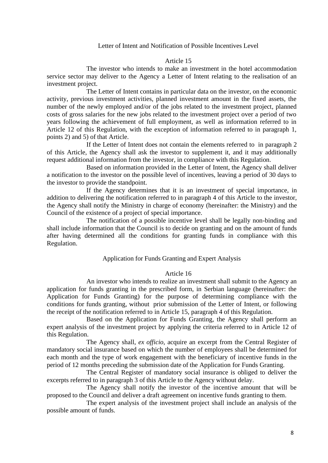### Letter of Intent and Notification of Possible Incentives Level

#### Article 15

The investor who intends to make an investment in the hotel accommodation service sector may deliver to the Agency a Letter of Intent relating to the realisation of an investment project.

The Letter of Intent contains in particular data on the investor, on the economic activity, previous investment activities, planned investment amount in the fixed assets, the number of the newly employed and/or of the jobs related to the investment project, planned costs of gross salaries for the new jobs related to the investment project over a period of two years following the achievement of full employment, as well as information referred to in Article 12 of this Regulation, with the exception of information referred to in paragraph 1, points 2) and 5) of that Article.

If the Letter of Intent does not contain the elements referred to in paragraph 2 of this Article, the Agency shall ask the investor to supplement it, and it may additionally request additional information from the investor, in compliance with this Regulation.

Based on information provided in the Letter of Intent, the Agency shall deliver a notification to the investor on the possible level of incentives, leaving a period of 30 days to the investor to provide the standpoint.

If the Agency determines that it is an investment of special importance, in addition to delivering the notification referred to in paragraph 4 of this Article to the investor, the Agency shall notify the Ministry in charge of economy (hereinafter: the Ministry) and the Council of the existence of a project of special importance.

The notification of a possible incentive level shall be legally non-binding and shall include information that the Council is to decide on granting and on the amount of funds after having determined all the conditions for granting funds in compliance with this Regulation.

#### Application for Funds Granting and Expert Analysis

## Article 16

An investor who intends to realize an investment shall submit to the Agency an application for funds granting in the prescribed form, in Serbian language (hereinafter: the Application for Funds Granting) for the purpose of determining compliance with the conditions for funds granting, without prior submission of the Letter of Intent, or following the receipt of the notification referred to in Article 15, paragraph 4 of this Regulation.

Based on the Application for Funds Granting, the Agency shall perform an expert analysis of the investment project by applying the criteria referred to in Article 12 of this Regulation.

The Agency shall, *ex officio*, acquire an excerpt from the Central Register of mandatory social insurance based on which the number of employees shall be determined for each month and the type of work engagement with the beneficiary of incentive funds in the period of 12 months preceding the submission date of the Application for Funds Granting.

The Central Register of mandatory social insurance is obliged to deliver the excerpts referred to in paragraph 3 of this Article to the Agency without delay.

The Agency shall notify the investor of the incentive amount that will be proposed to the Council and deliver a draft agreement on incentive funds granting to them.

The expert analysis of the investment project shall include an analysis of the possible amount of funds.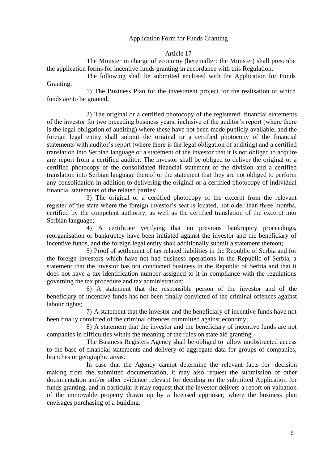# Application Form for Funds Granting

### Article 17

The Minister in charge of economy (hereinafter: the Minister) shall prescribe the application forms for incentive funds granting in accordance with this Regulation.

The following shall be submitted enclosed with the Application for Funds Granting:

1) The Business Plan for the investment project for the realisation of which funds are to be granted;

2) The original or a certified photocopy of the registered financial statements of the investor for two preceding business years, inclusive of the auditor's report (where there is the legal obligation of auditing) where these have not been made publicly available, and the foreign legal entity shall submit the original or a certified photocopy of the financial statements with auditor's report (where there is the legal obligation of auditing) and a certified translation into Serbian language or a statement of the investor that it is not obliged to acquire any report from a certified auditor. The investor shall be obliged to deliver the original or a certified photocopy of the consolidated financial statement of the division and a certified translation into Serbian language thereof or the statement that they are not obliged to perform any consolidation in addition to delivering the original or a certified photocopy of individual financial statements of the related parties;

3) The original or a certified photocopy of the excerpt from the relevant register of the state where the foreign investor's seat is located, not older than three months, certified by the competent authority, as well as the certified translation of the excerpt into Serbian language;

4) A certificate verifying that no previous bankruptcy proceedings, reorganisation or bankruptcy have been initiated against the investor and the beneficiary of incentive funds, and the foreign legal entity shall additionally submit a statement thereon;

5) Proof of settlement of tax related liabilities in the Republic of Serbia and for the foreign investors which have not had business operations in the Republic of Serbia, a statement that the investor has not conducted business in the Republic of Serbia and that it does not have a tax identification number assigned to it in compliance with the regulations governing the tax procedure and tax administration;

6) A statement that the responsible person of the investor and of the beneficiary of incentive funds has not been finally convicted of the criminal offences against labour rights;

7) A statement that the investor and the beneficiary of incentive funds have not been finally convicted of the criminal offences committed against economy;

8) A statement that the investor and the beneficiary of incentive funds are not companies in difficulties within the meaning of the rules on state aid granting.

The Business Registers Agency shall be obliged to allow unobstructed access to the base of financial statements and delivery of aggregate data for groups of companies, branches or geographic areas.

In case that the Agency cannot determine the relevant facts for decision making from the submitted documentation, it may also request the submission of other documentation and/or other evidence relevant for deciding on the submitted Application for funds granting, and in particular it may request that the investor delivers a report on valuation of the immovable property drawn up by a licensed appraiser, where the business plan envisages purchasing of a building.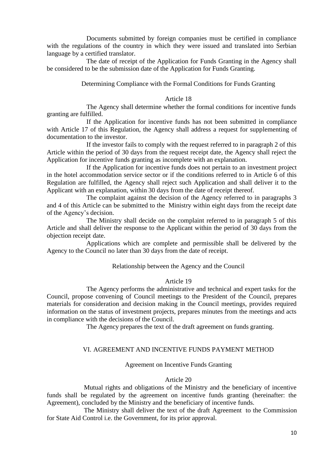Documents submitted by foreign companies must be certified in compliance with the regulations of the country in which they were issued and translated into Serbian language by a certified translator.

The date of receipt of the Application for Funds Granting in the Agency shall be considered to be the submission date of the Application for Funds Granting.

Determining Compliance with the Formal Conditions for Funds Granting

# Article 18

The Agency shall determine whether the formal conditions for incentive funds granting are fulfilled.

If the Application for incentive funds has not been submitted in compliance with Article 17 of this Regulation, the Agency shall address a request for supplementing of documentation to the investor.

If the investor fails to comply with the request referred to in paragraph 2 of this Article within the period of 30 days from the request receipt date, the Agency shall reject the Application for incentive funds granting as incomplete with an explanation.

If the Application for incentive funds does not pertain to an investment project in the hotel accommodation service sector or if the conditions referred to in Article 6 of this Regulation are fulfilled, the Agency shall reject such Application and shall deliver it to the Applicant with an explanation, within 30 days from the date of receipt thereof.

The complaint against the decision of the Agency referred to in paragraphs 3 and 4 of this Article can be submitted to the Ministry within eight days from the receipt date of the Agency's decision.

The Ministry shall decide on the complaint referred to in paragraph 5 of this Article and shall deliver the response to the Applicant within the period of 30 days from the objection receipt date.

Applications which are complete and permissible shall be delivered by the Agency to the Council no later than 30 days from the date of receipt.

#### Relationship between the Agency and the Council

#### Article 19

The Agency performs the administrative and technical and expert tasks for the Council, propose convening of Council meetings to the President of the Council, prepares materials for consideration and decision making in the Council meetings, provides required information on the status of investment projects, prepares minutes from the meetings and acts in compliance with the decisions of the Council.

The Agency prepares the text of the draft agreement on funds granting.

### VI. AGREEMENT AND INCENTIVE FUNDS PAYMENT METHOD

#### Agreement on Incentive Funds Granting

#### Article 20

Mutual rights and obligations of the Ministry and the beneficiary of incentive funds shall be regulated by the agreement on incentive funds granting (hereinafter: the Agreement), concluded by the Ministry and the beneficiary of incentive funds.

The Ministry shall deliver the text of the draft Agreement to the Commission for State Aid Control i.e. the Government, for its prior approval.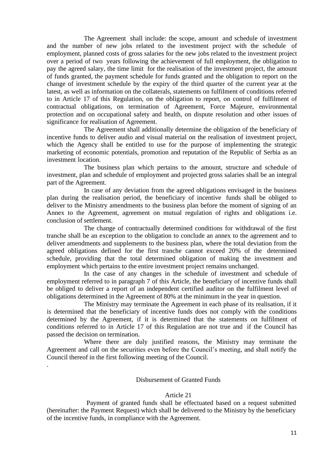The Agreement shall include: the scope, amount and schedule of investment and the number of new jobs related to the investment project with the schedule of employment, planned costs of gross salaries for the new jobs related to the investment project over a period of two years following the achievement of full employment, the obligation to pay the agreed salary, the time limit for the realisation of the investment project, the amount of funds granted, the payment schedule for funds granted and the obligation to report on the change of investment schedule by the expiry of the third quarter of the current year at the latest, as well as information on the collaterals, statements on fulfilment of conditions referred to in Article 17 of this Regulation, on the obligation to report, on control of fulfilment of contractual obligations, on termination of Agreement, Force Majeure, environmental protection and on occupational safety and health, on dispute resolution and other issues of significance for realisation of Agreement.

The Agreement shall additionally determine the obligation of the beneficiary of incentive funds to deliver audio and visual material on the realisation of investment project, which the Agency shall be entitled to use for the purpose of implementing the strategic marketing of economic potentials, promotion and reputation of the Republic of Serbia as an investment location.

The business plan which pertains to the amount, structure and schedule of investment, plan and schedule of employment and projected gross salaries shall be an integral part of the Agreement.

In case of any deviation from the agreed obligations envisaged in the business plan during the realisation period, the beneficiary of incentive funds shall be obliged to deliver to the Ministry amendments to the business plan before the moment of signing of an Annex to the Agreement, agreement on mutual regulation of rights and obligations i.e. conclusion of settlement.

The change of contractually determined conditions for withdrawal of the first tranche shall be an exception to the obligation to conclude an annex to the agreement and to deliver amendments and supplements to the business plan, where the total deviation from the agreed obligations defined for the first tranche cannot exceed 20% of the determined schedule, providing that the total determined obligation of making the investment and employment which pertains to the entire investment project remains unchanged.

In the case of any changes in the schedule of investment and schedule of employment referred to in paragraph 7 of this Article, the beneficiary of incentive funds shall be obliged to deliver a report of an independent certified auditor on the fulfilment level of obligations determined in the Agreement of 80% at the minimum in the year in question.

The Ministry may terminate the Agreement in each phase of its realisation, if it is determined that the beneficiary of incentive funds does not comply with the conditions determined by the Agreement, if it is determined that the statements on fulfilment of conditions referred to in Article 17 of this Regulation are not true and if the Council has passed the decision on termination.

Where there are duly justified reasons, the Ministry may terminate the Agreement and call on the securities even before the Council's meeting, and shall notify the Council thereof in the first following meeting of the Council.

.

### Disbursement of Granted Funds

### Article 21

Payment of granted funds shall be effectuated based on a request submitted (hereinafter: the Payment Request) which shall be delivered to the Ministry by the beneficiary of the incentive funds, in compliance with the Agreement.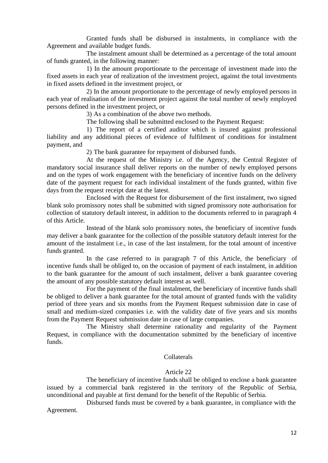Granted funds shall be disbursed in instalments, in compliance with the Agreement and available budget funds.

The instalment amount shall be determined as a percentage of the total amount of funds granted, in the following manner:

1) In the amount proportionate to the percentage of investment made into the fixed assets in each year of realization of the investment project, against the total investments in fixed assets defined in the investment project, or

2) In the amount proportionate to the percentage of newly employed persons in each year of realisation of the investment project against the total number of newly employed persons defined in the investment project, or

3) As a combination of the above two methods.

The following shall be submitted enclosed to the Payment Request:

1) The report of a certified auditor which is insured against professional liability and any additional pieces of evidence of fulfilment of conditions for instalment payment, and

2) The bank guarantee for repayment of disbursed funds.

At the request of the Ministry i.e. of the Agency, the Central Register of mandatory social insurance shall deliver reports on the number of newly employed persons and on the types of work engagement with the beneficiary of incentive funds on the delivery date of the payment request for each individual instalment of the funds granted, within five days from the request receipt date at the latest.

Enclosed with the Request for disbursement of the first instalment, two signed blank solo promissory notes shall be submitted with signed promissory note authorisation for collection of statutory default interest, in addition to the documents referred to in paragraph 4 of this Article.

Instead of the blank solo promissory notes, the beneficiary of incentive funds may deliver a bank guarantee for the collection of the possible statutory default interest for the amount of the instalment i.e., in case of the last instalment, for the total amount of incentive funds granted.

In the case referred to in paragraph 7 of this Article, the beneficiary of incentive funds shall be obliged to, on the occasion of payment of each instalment, in addition to the bank guarantee for the amount of such instalment, deliver a bank guarantee covering the amount of any possible statutory default interest as well.

For the payment of the final instalment, the beneficiary of incentive funds shall be obliged to deliver a bank guarantee for the total amount of granted funds with the validity period of three years and six months from the Payment Request submission date in case of small and medium-sized companies i.e. with the validity date of five years and six months from the Payment Request submission date in case of large companies.

The Ministry shall determine rationality and regularity of the Payment Request, in compliance with the documentation submitted by the beneficiary of incentive funds.

### Collaterals

### Article 22

The beneficiary of incentive funds shall be obliged to enclose a bank guarantee issued by a commercial bank registered in the territory of the Republic of Serbia, unconditional and payable at first demand for the benefit of the Republic of Serbia.

Disbursed funds must be covered by a bank guarantee, in compliance with the Agreement.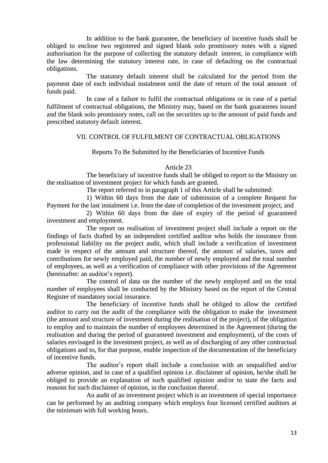In addition to the bank guarantee, the beneficiary of incentive funds shall be obliged to enclose two registered and signed blank solo promissory notes with a signed authorisation for the purpose of collecting the statutory default interest, in compliance with the law determining the statutory interest rate, in case of defaulting on the contractual obligations.

The statutory default interest shall be calculated for the period from the payment date of each individual instalment until the date of return of the total amount of funds paid.

In case of a failure to fulfil the contractual obligations or in case of a partial fulfilment of contractual obligations, the Ministry may, based on the bank guarantees issued and the blank solo promissory notes, call on the securities up to the amount of paid funds and prescribed statutory default interest.

### VII. CONTROL OF FULFILMENT OF CONTRACTUAL OBLIGATIONS

### Reports To Be Submitted by the Beneficiaries of Incentive Funds

### Article 23

The beneficiary of incentive funds shall be obliged to report to the Ministry on the realisation of investment project for which funds are granted.

The report referred to in paragraph 1 of this Article shall be submitted:

1) Within 60 days from the date of submission of a complete Request for Payment for the last instalment i.e. from the date of completion of the investment project, and

2) Within 60 days from the date of expiry of the period of guaranteed investment and employment.

The report on realisation of investment project shall include a report on the findings of facts drafted by an independent certified auditor who holds the insurance from professional liability on the project audit, which shall include a verification of investment made in respect of the amount and structure thereof, the amount of salaries, taxes and contributions for newly employed paid, the number of newly employed and the total number of employees, as well as a verification of compliance with other provisions of the Agreement (hereinafter: an auditor's report).

The control of data on the number of the newly employed and on the total number of employees shall be conducted by the Ministry based on the report of the Central Register of mandatory social insurance.

The beneficiary of incentive funds shall be obliged to allow the certified auditor to carry out the audit of the compliance with the obligation to make the investment (the amount and structure of investment during the realisation of the project), of the obligation to employ and to maintain the number of employees determined in the Agreement (during the realisation and during the period of guaranteed investment and employment), of the costs of salaries envisaged in the investment project, as well as of discharging of any other contractual obligations and to, for that purpose, enable inspection of the documentation of the beneficiary of incentive funds.

The auditor's report shall include a conclusion with an unqualified and/or adverse opinion, and in case of a qualified opinion i.e. disclaimer of opinion, he/she shall be obliged to provide an explanation of such qualified opinion and/or to state the facts and reasons for such disclaimer of opinion, in the conclusion thereof.

An audit of an investment project which is an investment of special importance can be performed by an auditing company which employs four licensed certified auditors at the minimum with full working hours.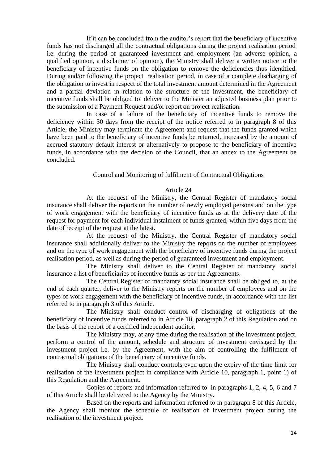If it can be concluded from the auditor's report that the beneficiary of incentive funds has not discharged all the contractual obligations during the project realisation period i.e. during the period of guaranteed investment and employment (an adverse opinion, a qualified opinion, a disclaimer of opinion), the Ministry shall deliver a written notice to the beneficiary of incentive funds on the obligation to remove the deficiencies thus identified. During and/or following the project realisation period, in case of a complete discharging of the obligation to invest in respect of the total investment amount determined in the Agreement and a partial deviation in relation to the structure of the investment, the beneficiary of incentive funds shall be obliged to deliver to the Minister an adjusted business plan prior to the submission of a Payment Request and/or report on project realisation.

In case of a failure of the beneficiary of incentive funds to remove the deficiency within 30 days from the receipt of the notice referred to in paragraph 8 of this Article, the Ministry may terminate the Agreement and request that the funds granted which have been paid to the beneficiary of incentive funds be returned, increased by the amount of accrued statutory default interest or alternatively to propose to the beneficiary of incentive funds, in accordance with the decision of the Council, that an annex to the Agreement be concluded.

# Control and Monitoring of fulfilment of Contractual Obligations

### Article 24

At the request of the Ministry, the Central Register of mandatory social insurance shall deliver the reports on the number of newly employed persons and on the type of work engagement with the beneficiary of incentive funds as at the delivery date of the request for payment for each individual instalment of funds granted, within five days from the date of receipt of the request at the latest.

At the request of the Ministry, the Central Register of mandatory social insurance shall additionally deliver to the Ministry the reports on the number of employees and on the type of work engagement with the beneficiary of incentive funds during the project realisation period, as well as during the period of guaranteed investment and employment.

The Ministry shall deliver to the Central Register of mandatory social insurance a list of beneficiaries of incentive funds as per the Agreements.

The Central Register of mandatory social insurance shall be obliged to, at the end of each quarter, deliver to the Ministry reports on the number of employees and on the types of work engagement with the beneficiary of incentive funds, in accordance with the list referred to in paragraph 3 of this Article.

The Ministry shall conduct control of discharging of obligations of the beneficiary of incentive funds referred to in Article 10, paragraph 2 of this Regulation and on the basis of the report of a certified independent auditor.

The Ministry may, at any time during the realisation of the investment project, perform a control of the amount, schedule and structure of investment envisaged by the investment project i.e. by the Agreement, with the aim of controlling the fulfilment of contractual obligations of the beneficiary of incentive funds.

The Ministry shall conduct controls even upon the expiry of the time limit for realisation of the investment project in compliance with Article 10, paragraph 1, point 1) of this Regulation and the Agreement.

Copies of reports and information referred to in paragraphs 1, 2, 4, 5, 6 and 7 of this Article shall be delivered to the Agency by the Ministry.

Based on the reports and information referred to in paragraph 8 of this Article, the Agency shall monitor the schedule of realisation of investment project during the realisation of the investment project.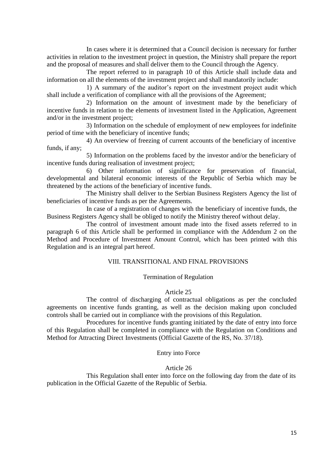In cases where it is determined that a Council decision is necessary for further activities in relation to the investment project in question, the Ministry shall prepare the report and the proposal of measures and shall deliver them to the Council through the Agency.

The report referred to in paragraph 10 of this Article shall include data and information on all the elements of the investment project and shall mandatorily include:

1) A summary of the auditor's report on the investment project audit which shall include a verification of compliance with all the provisions of the Agreement;

2) Information on the amount of investment made by the beneficiary of incentive funds in relation to the elements of investment listed in the Application, Agreement and/or in the investment project;

3) Information on the schedule of employment of new employees for indefinite period of time with the beneficiary of incentive funds;

4) An overview of freezing of current accounts of the beneficiary of incentive funds, if any;

5) Information on the problems faced by the investor and/or the beneficiary of incentive funds during realisation of investment project;

6) Other information of significance for preservation of financial, developmental and bilateral economic interests of the Republic of Serbia which may be threatened by the actions of the beneficiary of incentive funds.

The Ministry shall deliver to the Serbian Business Registers Agency the list of beneficiaries of incentive funds as per the Agreements.

In case of a registration of changes with the beneficiary of incentive funds, the Business Registers Agency shall be obliged to notify the Ministry thereof without delay.

The control of investment amount made into the fixed assets referred to in paragraph 6 of this Article shall be performed in compliance with the Addendum 2 on the Method and Procedure of Investment Amount Control, which has been printed with this Regulation and is an integral part hereof.

# VIII. TRANSITIONAL AND FINAL PROVISIONS

### Termination of Regulation

### Article 25

The control of discharging of contractual obligations as per the concluded agreements on incentive funds granting, as well as the decision making upon concluded controls shall be carried out in compliance with the provisions of this Regulation.

Procedures for incentive funds granting initiated by the date of entry into force of this Regulation shall be completed in compliance with the Regulation on Conditions and Method for Attracting Direct Investments (Official Gazette of the RS, No. 37/18).

### Entry into Force

### Article 26

This Regulation shall enter into force on the following day from the date of its publication in the Official Gazette of the Republic of Serbia.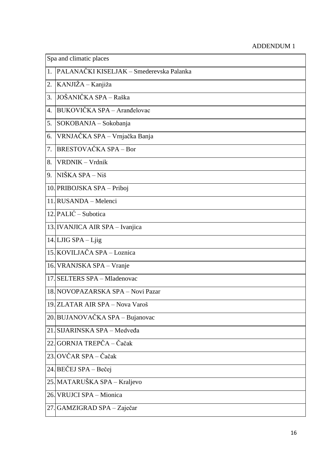# ADDENDUM 1

| Spa and climatic places |                                          |
|-------------------------|------------------------------------------|
| 1.                      | PALANAČKI KISELJAK - Smederevska Palanka |
| 2.                      | KANJIŽA – Kanjiža                        |
| 3.                      | JOŠANIČKA SPA - Raška                    |
| 4.                      | BUKOVIČKA SPA - Aranđelovac              |
| 5.                      | SOKOBANJA – Sokobanja                    |
| 6.                      | VRNJAČKA SPA - Vrnjačka Banja            |
| 7.                      | <b>BRESTOVAČKA SPA – Bor</b>             |
| 8.                      | VRDNIK - Vrdnik                          |
| 9.                      | NIŠKA SPA – Niš                          |
|                         | 10. PRIBOJSKA SPA – Priboj               |
|                         | 11. RUSANDA – Melenci                    |
|                         | $12.$ PALIĆ – Subotica                   |
|                         | 13. IVANJICA AIR SPA - Ivanjica          |
|                         | 14. LJIG SPA - Ljig                      |
|                         | 15. KOVILJAČA SPA – Loznica              |
|                         | 16. VRANJSKA SPA – Vranje                |
|                         | 17. SELTERS SPA - Mladenovac             |
|                         | 18. NOVOPAZARSKA SPA - Novi Pazar        |
|                         | 19. ZLATAR AIR SPA - Nova Varoš          |
|                         | 20. BUJANOVAČKA SPA – Bujanovac          |
|                         | 21. SIJARINSKA SPA - Medveđa             |
|                         | 22. GORNJA TREPČA – Čačak                |
|                         | 23. OVČAR SPA – Čačak                    |
|                         | 24. BEČEJ SPA – Bečej                    |
|                         | 25. MATARUŠKA SPA – Kraljevo             |
| 26.                     | VRUJCI SPA - Mionica                     |
| 27.                     | GAMZIGRAD SPA - Zaječar                  |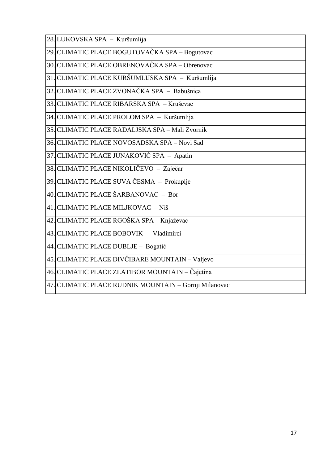| 28. LUKOVSKA SPA – Kuršumlija                         |
|-------------------------------------------------------|
| 29. CLIMATIC PLACE BOGUTOVAČKA SPA – Bogutovac        |
| 30. CLIMATIC PLACE OBRENOVAČKA SPA – Obrenovac        |
| 31. CLIMATIC PLACE KURŠUMLIJSKA SPA - Kuršumlija      |
| 32. CLIMATIC PLACE ZVONAČKA SPA – Babušnica           |
| 33. CLIMATIC PLACE RIBARSKA SPA – Kruševac            |
| 34. CLIMATIC PLACE PROLOM SPA – Kuršumlija            |
| 35. CLIMATIC PLACE RADALJSKA SPA - Mali Zvornik       |
| 36. CLIMATIC PLACE NOVOSADSKA SPA - Novi Sad          |
| 37. CLIMATIC PLACE JUNAKOVIĆ SPA – Apatin             |
| 38. CLIMATIC PLACE NIKOLIČEVO – Zaječar               |
| 39. CLIMATIC PLACE SUVA ČESMA – Prokuplje             |
| 40. CLIMATIC PLACE ŠARBANOVAC - Bor                   |
| 41. CLIMATIC PLACE MILJKOVAC - Niš                    |
| 42. CLIMATIC PLACE RGOŠKA SPA – Knjaževac             |
| 43. CLIMATIC PLACE BOBOVIK - Vladimirci               |
| 44. CLIMATIC PLACE DUBLJE – Bogatić                   |
| 45. CLIMATIC PLACE DIVČIBARE MOUNTAIN – Valjevo       |
| 46. CLIMATIC PLACE ZLATIBOR MOUNTAIN – Čajetina       |
| 47. CLIMATIC PLACE RUDNIK MOUNTAIN - Gornji Milanovac |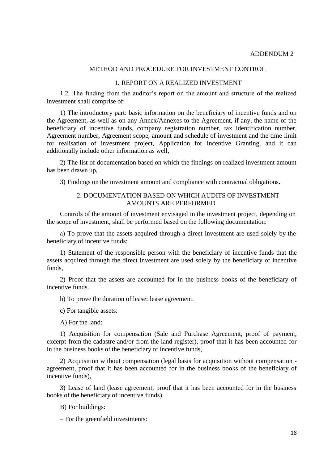#### METHOD AND PROCEDURE FOR INVESTMENT CONTROL

### 1. REPORT ON A REALIZED INVESTMENT

1.2. The finding from the auditor's report on the amount and structure of the realized investment shall comprise of:

1) The introductory part: basic information on the beneficiary of incentive funds and on the Agreement, as well as on any Annex/Annexes to the Agreement, if any, the name of the beneficiary of incentive funds, company registration number, tax identification number, Agreement number, Agreement scope, amount and schedule of investment and the time limit for realisation of investment project, Application for Incentive Granting, and it can additionally include other information as well,

2) The list of documentation based on which the findings on realized investment amount has been drawn up,

3) Findings on the investment amount and compliance with contractual obligations.

### 2. DOCUMENTATION BASED ON WHICH AUDITS OF INVESTMENT AMOUNTS ARE PERFORMED

Controls of the amount of investment envisaged in the investment project, depending on the scope of investment, shall be performed based on the following documentation:

а) To prove that the assets acquired through a direct investment are used solely by the beneficiary of incentive funds:

1) Statement of the responsible person with the beneficiary of incentive funds that the assets acquired through the direct investment are used solely by the beneficiary of incentive funds,

2) Proof that the assets are accounted for in the business books of the beneficiary of incentive funds.

b) To prove the duration of lease: lease agreement.

c) For tangible assets:

А) For the land:

1) Acquisition for compensation (Sale and Purchase Agreement, proof of payment, excerpt from the cadastre and/or from the land register), proof that it has been accounted for in the business books of the beneficiary of incentive funds,

2) Acquisition without compensation (legal basis for acquisition without compensation agreement, proof that it has been accounted for in the business books of the beneficiary of incentive funds),

3) Lease of land (lease agreement, proof that it has been accounted for in the business books of the beneficiary of incentive funds).

B) For buildings:

– For the greenfield investments: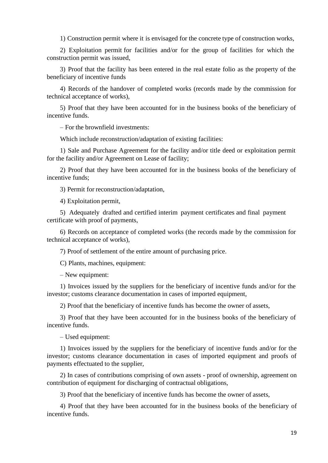1) Construction permit where it is envisaged for the concrete type of construction works,

2) Exploitation permit for facilities and/or for the group of facilities for which the construction permit was issued,

3) Proof that the facility has been entered in the real estate folio as the property of the beneficiary of incentive funds

4) Records of the handover of completed works (records made by the commission for technical acceptance of works),

5) Proof that they have been accounted for in the business books of the beneficiary of incentive funds.

– For the brownfield investments:

Which include reconstruction/adaptation of existing facilities:

1) Sale and Purchase Agreement for the facility and/or title deed or exploitation permit for the facility and/or Agreement on Lease of facility;

2) Proof that they have been accounted for in the business books of the beneficiary of incentive funds;

3) Permit for reconstruction/adaptation,

4) Exploitation permit,

5) Adequately drafted and certified interim payment certificates and final payment certificate with proof of payments,

6) Records on acceptance of completed works (the records made by the commission for technical acceptance of works),

7) Proof of settlement of the entire amount of purchasing price.

C) Plants, machines, equipment:

– New equipment:

1) Invoices issued by the suppliers for the beneficiary of incentive funds and/or for the investor; customs clearance documentation in cases of imported equipment,

2) Proof that the beneficiary of incentive funds has become the owner of assets,

3) Proof that they have been accounted for in the business books of the beneficiary of incentive funds.

– Used equipment:

1) Invoices issued by the suppliers for the beneficiary of incentive funds and/or for the investor; customs clearance documentation in cases of imported equipment and proofs of payments effectuated to the supplier,

2) In cases of contributions comprising of own assets - proof of ownership, agreement on contribution of equipment for discharging of contractual obligations,

3) Proof that the beneficiary of incentive funds has become the owner of assets,

4) Proof that they have been accounted for in the business books of the beneficiary of incentive funds.